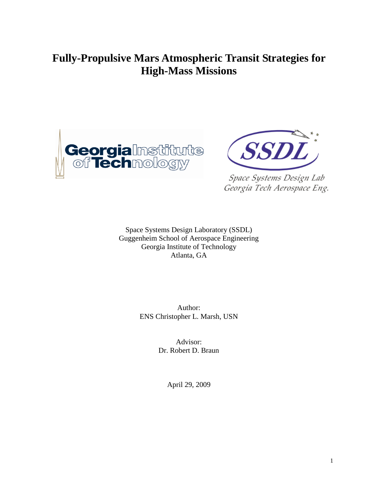# **Fully-Propulsive Mars Atmospheric Transit Strategies for High-Mass Missions**





Space Systems Design Lab Georgia Tech Aerospace Eng.

Space Systems Design Laboratory (SSDL) Guggenheim School of Aerospace Engineering Georgia Institute of Technology Atlanta, GA

> Author: ENS Christopher L. Marsh, USN

> > Advisor: Dr. Robert D. Braun

> > > April 29, 2009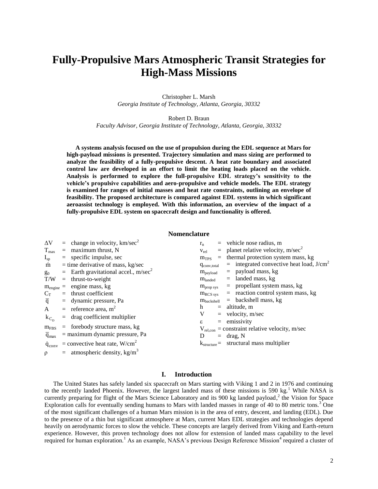## **Fully-Propulsive Mars Atmospheric Transit Strategies for High-Mass Missions**

Christopher L. Marsh *Georgia Institute of Technology, Atlanta, Georgia, 30332*

Robert D. Braun

*Faculty Advisor, Georgia Institute of Technology, Atlanta, Georgia, 30332*

**A systems analysis focused on the use of propulsion during the EDL sequence at Mars for high-payload missions is presented. Trajectory simulation and mass sizing are performed to analyze the feasibility of a fully-propulsive descent. A heat rate boundary and associated control law are developed in an effort to limit the heating loads placed on the vehicle. Analysis is performed to explore the full-propulsive EDL strategy's sensitivity to the vehicle's propulsive capabilities and aero-propulsive and vehicle models. The EDL strategy is examined for ranges of initial masses and heat rate constraints, outlining an envelope of feasibility. The proposed architecture is compared against EDL systems in which significant aeroassist technology is employed. With this information, an overview of the impact of a fully-propulsive EDL system on spacecraft design and functionality is offered.**

### **Nomenclature**

| $\Delta V$               | = change in velocity, $km/sec2$                    | $r_{n}$                          | $=$ vehicle nose radius, m                             |
|--------------------------|----------------------------------------------------|----------------------------------|--------------------------------------------------------|
| $T_{max}$                | $=$ maximum thrust, N                              | $V_{rel}$                        | $=$ planet relative velocity, m/sec <sup>2</sup>       |
| $\mathbf{I}_{\text{sp}}$ | $=$ specific impulse, sec                          | m <sub>TPS</sub>                 | $=$ thermal protection system mass, kg                 |
| $\dot{m}$                | $=$ time derivative of mass, kg/sec                | $q_{\text{conv,total}}$          | $=$ integrated convective heat load, J/cm <sup>2</sup> |
| $g_0$                    | $=$ Earth gravitational accel., m/sec <sup>2</sup> | $m_{\text{pavid}}$               | $=$ payload mass, kg                                   |
| T/W                      | $=$ thrust-to-weight                               | $m_{landed}$                     | $=$ landed mass, kg                                    |
|                          | $m_{engine}$ = engine mass, kg                     | $m_{\text{prop}{}_{\text{sys}}}$ | $=$ propellant system mass, kg                         |
| $C_T$                    | $=$ thrust coefficient                             | $m_{\rm RCS\;sys}$               | $=$ reaction control system mass, kg                   |
| $\overline{q}$           | $=$ dynamic pressure, Pa                           | $m_{\text{backshell}}$           | $=$ backshell mass, kg                                 |
| A                        | $=$ reference area, m <sup>2</sup>                 | h                                | $=$ altitude, m                                        |
| $k_{C_D}$                | $=$ drag coefficient multiplier                    | V                                | $=$ velocity, m/sec                                    |
|                          |                                                    | $\epsilon$                       | $=$ emissivity                                         |
|                          | $m_{FBS}$ = forebody structure mass, kg            |                                  | $V_{rel,con}$ = constraint relative velocity, m/sec    |
| $\overline{q}_{max}$     | $=$ maximum dynamic pressure, Pa                   | D                                | $=$ drag, N                                            |
| $\dot{q}_{\rm conv}$     | = convective heat rate, $W/cm2$                    |                                  | $k_{structure}$ = structural mass multiplier           |
| $\rho$                   | $=$ atmospheric density, kg/m <sup>3</sup>         |                                  |                                                        |

### **I. Introduction**

The United States has safely landed six spacecraft on Mars starting with Viking 1 and 2 in 1976 and continuing to the recently landed Phoenix. However, the largest landed mass of these missions is 590 kg.<sup>[1](#page-19-0)</sup> While NASA is currently preparing for flight of the Mars Science Laboratory and its 900 kg landed payload[,](#page-19-1)<sup>2</sup> the Vision for Space Exploration calls for eventually sending humans to Mars with landed masses in range of 40 to 80 metric tons.<sup>[3](#page-19-2)</sup> One of the most significant challenges of a human Mars mission is in the area of entry, descent, and landing (EDL). Due to the presence of a thin but significant atmosphere at Mars, current Mars EDL strategies and technologies depend heavily on aerodynamic forces to slow the vehicle. These concepts are largely derived from Viking and Earth-return experience. However, this proven technology does not allow for extension of landed mass capability to the level required for human exploration[.](#page-19-0)<sup>1</sup> As an example, NASA's previous Design Reference Mission<sup>[4](#page-19-3)</sup> required a cluster of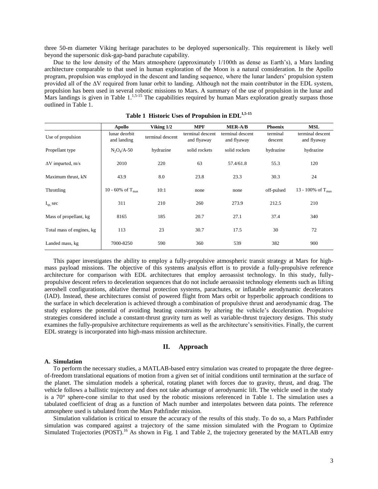three 50-m diameter Viking heritage parachutes to be deployed supersonically. This requirement is likely well beyond the supersonic disk-gap-band parachute capability.

Due to the low density of the Mars atmosphere (approximately 1/100th as dense as Earth"s), a Mars landing architecture comparable to that used in human exploration of the Moon is a natural consideration. In the Apollo program, propulsion was employed in the descent and landing sequence, where the lunar landers" propulsion system provided all of the ΔV required from lunar orbit to landing. Although not the main contributor in the EDL system, propulsion has been used in several robotic missions to Mars. A summary of the use of propulsion in the lunar and Mars landings is given in Table  $1^{1.5 \cdot 15}$  $1^{1.5 \cdot 15}$  $1^{1.5 \cdot 15}$  The capabilities required by human Mars exploration greatly surpass those outlined in [Table 1.](#page-2-0)

<span id="page-2-0"></span>

|                           | Apollo                       | Viking 1/2       | <b>MPF</b>                      | <b>MER-A/B</b>                  | <b>Phoenix</b>      | <b>MSL</b>                      |
|---------------------------|------------------------------|------------------|---------------------------------|---------------------------------|---------------------|---------------------------------|
| Use of propulsion         | lunar deorbit<br>and landing | terminal descent | terminal descent<br>and flyaway | terminal descent<br>and flyaway | terminal<br>descent | terminal descent<br>and flyaway |
| Propellant type           | $N_2O_4/A-50$                | hydrazine        | solid rockets                   | solid rockets                   | hydrazine           | hydrazine                       |
| $\Delta V$ imparted, m/s  | 2010                         | 220              | 63                              | 57.4/61.8                       | 55.3                | 120                             |
| Maximum thrust, kN        | 43.9                         | 8.0              | 23.8                            | 23.3                            | 30.3                | 24                              |
| Throttling                | 10 - 60% of $T_{max}$        | 10:1             | none                            | none                            | off-pulsed          | 13 - 100% of $T_{\text{max}}$   |
| $I_{\rm SD}$ sec          | 311                          | 210              | 260                             | 273.9                           | 212.5               | 210                             |
| Mass of propellant, kg    | 8165                         | 185              | 20.7                            | 27.1                            | 37.4                | 340                             |
| Total mass of engines, kg | 113                          | 23               | 30.7                            | 17.5                            | 30                  | 72                              |
| Landed mass, kg           | 7000-8250                    | 590              | 360                             | 539                             | 382                 | 900                             |

**Table 1 Historic Uses of Propulsion in EDL[1,](#page-19-0)[5-](#page-19-4)[15](#page-19-5)**

This paper investigates the ability to employ a fully-propulsive atmospheric transit strategy at Mars for highmass payload missions. The objective of this systems analysis effort is to provide a fully-propulsive reference architecture for comparison with EDL architectures that employ aeroassist technology. In this study, fullypropulsive descent refers to deceleration sequences that do not include aeroassist technology elements such as lifting aeroshell configurations, ablative thermal protection systems, parachutes, or inflatable aerodynamic decelerators (IAD). Instead, these architectures consist of powered flight from Mars orbit or hyperbolic approach conditions to the surface in which deceleration is achieved through a combination of propulsive thrust and aerodynamic drag. The study explores the potential of avoiding heating constraints by altering the vehicle"s deceleration. Propulsive strategies considered include a constant-thrust gravity turn as well as variable-thrust trajectory designs. This study examines the fully-propulsive architecture requirements as well as the architecture"s sensitivities. Finally, the current EDL strategy is incorporated into high-mass mission architecture.

### **II. Approach**

### **A. Simulation**

To perform the necessary studies, a MATLAB-based entry simulation was created to propagate the three degreeof-freedom translational equations of motion from a given set of initial conditions until termination at the surface of the planet. The simulation models a spherical, rotating planet with forces due to gravity, thrust, and drag. The vehicle follows a ballistic trajectory and does not take advantage of aerodynamic lift. The vehicle used in the study is a 70° sphere-cone similar to that used by the robotic missions referenced in [Table 1.](#page-2-0) The simulation uses a tabulated coefficient of drag as a function of Mach number and interpolates between data points. The reference atmosphere used is tabulated from the Mars Pathfinder mission.

Simulation validation is critical to ensure the accuracy of the results of this study. To do so, a Mars Pathfinder simulation was compared against a trajectory of the same mission simulated with the Program to Optimize Simulated Trajectories (POST).<sup>[16](#page-19-6)</sup> As shown in [Fig. 1](#page-3-0) and [Table 2,](#page-3-1) the trajectory generated by the MATLAB entry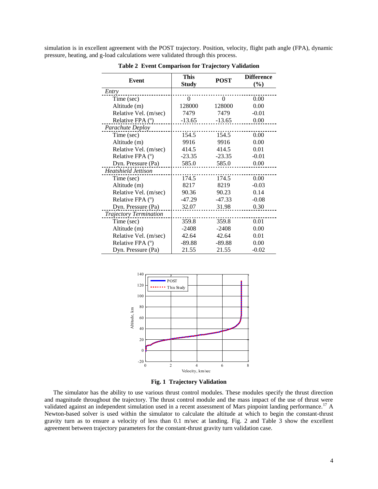<span id="page-3-1"></span>simulation is in excellent agreement with the POST trajectory. Position, velocity, flight path angle (FPA), dynamic pressure, heating, and g-load calculations were validated through this process.

| Event                         | <b>This</b><br><b>Study</b> | <b>POST</b> | <b>Difference</b><br>$(\%)$ |
|-------------------------------|-----------------------------|-------------|-----------------------------|
| Entry                         |                             |             |                             |
| Time (sec)                    | $\Omega$                    | 0           | 0.00                        |
| Altitude (m)                  | 128000                      | 128000      | 0.00                        |
| Relative Vel. (m/sec)         | 7479                        | 7479        | $-0.01$                     |
| Relative FPA $(°)$            | $-13.65$                    | $-13.65$    | 0.00                        |
| Parachute Deploy              |                             |             |                             |
| Time (sec)                    | 154.5                       | 154.5       | 0.00                        |
| Altitude (m)                  | 9916                        | 9916        | 0.00                        |
| Relative Vel. (m/sec)         | 414.5                       | 414.5       | 0.01                        |
| Relative FPA $(°)$            | $-23.35$                    | $-23.35$    | $-0.01$                     |
| Dyn. Pressure (Pa)            | 585.0                       | 585.0       | 0.00                        |
| Heatshield Jettison           |                             |             |                             |
| Time (sec)                    | 174.5                       | 174.5       | 0.00                        |
| Altitude (m)                  | 8217                        | 8219        | $-0.03$                     |
| Relative Vel. (m/sec)         | 90.36                       | 90.23       | 0.14                        |
| Relative FPA $(°)$            | -47.29                      | $-47.33$    | $-0.08$                     |
| Dyn. Pressure (Pa)            | 32.07                       | 31.98       | 0.30                        |
| <b>Trajectory Termination</b> |                             |             |                             |
| Time (sec)                    | 359.8                       | 359.8       | 0.01                        |
| Altitude (m)                  | $-2408$                     | $-2408$     | 0.00                        |
| Relative Vel. (m/sec)         | 42.64                       | 42.64       | 0.01                        |
| Relative FPA $(°)$            | $-89.88$                    | $-89.88$    | 0.00                        |
| Dyn. Pressure (Pa)            | 21.55                       | 21.55       | $-0.02$                     |

**Table 2 Event Comparison for Trajectory Validation**



**Fig. 1 Trajectory Validation**

<span id="page-3-0"></span>The simulator has the ability to use various thrust control modules. These modules specify the thrust direction and magnitude throughout the trajectory. The thrust control module and the mass impact of the use of thrust were validated against an independent simulation used in a recent assessment of Mars pinpoint landing performance.<sup>[17](#page-19-7)</sup> A Newton-based solver is used within the simulator to calculate the altitude at which to begin the constant-thrust gravity turn as to ensure a velocity of less than 0.1 m/sec at landing. [Fig. 2](#page-4-0) and [Table 3](#page-4-1) show the excellent agreement between trajectory parameters for the constant-thrust gravity turn validation case.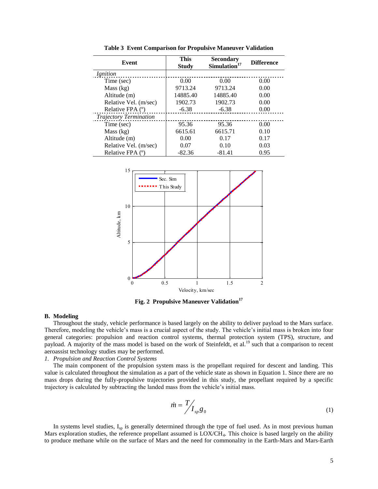<span id="page-4-1"></span>

| Event                         | <b>This</b><br><b>Study</b> | <b>Secondary</b><br>Simulation <sup>17</sup> | <b>Difference</b> |
|-------------------------------|-----------------------------|----------------------------------------------|-------------------|
| <i>Ignition</i>               |                             |                                              |                   |
| Time (sec)                    | 0.00                        | 0.00                                         | 0.00              |
| Mass (kg)                     | 9713.24                     | 9713.24                                      | 0.00              |
| Altitude (m)                  | 14885.40                    | 14885.40                                     | 0.00              |
| Relative Vel. (m/sec)         | 1902.73                     | 1902.73                                      | 0.00              |
| Relative FPA (°)              | $-6.38$                     | $-6.38$                                      | 0.00              |
| <b>Trajectory Termination</b> |                             |                                              |                   |
| Time (sec)                    | 95.36                       | 95.36                                        | 0.00              |
| Mass (kg)                     | 6615.61                     | 6615.71                                      | 0.10              |
| Altitude (m)                  | 0.00                        | 0.17                                         | 0.17              |
| Relative Vel. (m/sec)         | 0.07                        | 0.10                                         | 0.03              |
| Relative FPA (°)              | $-82.36$                    | $-81.41$                                     | 0.95              |

**Table 3 Event Comparison for Propulsive Maneuver Validation**



**Fig. 2 Propulsive Maneuver Validation[17](#page-19-7)**

### <span id="page-4-0"></span>**B. Modeling**

Throughout the study, vehicle performance is based largely on the ability to deliver payload to the Mars surface. Therefore, modeling the vehicle"s mass is a crucial aspect of the study. The vehicle"s initial mass is broken into four general categories: propulsion and reaction control systems, thermal protection system (TPS), structure, and payload. A majority of the mass model is based on the work of Steinfeldt, et al.<sup>[19](#page-19-8)</sup> such that a comparison to recent aeroassist technology studies may be performed.

### *1. Propulsion and Reaction Control Systems*

The main component of the propulsion system mass is the propellant required for descent and landing. This value is calculated throughout the simulation as a part of the vehicle state as shown in Equation 1. Since there are no mass drops during the fully-propulsive trajectories provided in this study, the propellant required by a specific trajectory is calculated by subtracting the landed mass from the vehicle"s initial mass.

$$
\dot{m} = \frac{T}{I_{sp}g_0} \tag{1}
$$

In systems level studies,  $I_{sp}$  is generally determined through the type of fuel used. As in most previous human Mars exploration studies, the reference propellant assumed is  $LOX/CH_4$ . This choice is based largely on the ability to produce methane while on the surface of Mars and the need for commonality in the Earth-Mars and Mars-Earth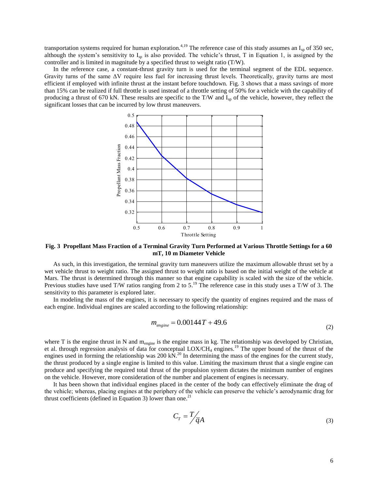transportation systems required for human exploration.<sup>[4,](#page-19-3)[19](#page-19-8)</sup> The reference case of this study assumes an  $I_{\rm SD}$  of 350 sec, although the system's sensitivity to  $I_{\rm sn}$  is also provided. The vehicle's thrust, T in Equation 1, is assigned by the controller and is limited in magnitude by a specified thrust to weight ratio (T/W).

In the reference case, a constant-thrust gravity turn is used for the terminal segment of the EDL sequence. Gravity turns of the same ΔV require less fuel for increasing thrust levels. Theoretically, gravity turns are most efficient if employed with infinite thrust at the instant before touchdown. [Fig. 3](#page-5-0) shows that a mass savings of more than 15% can be realized if full throttle is used instead of a throttle setting of 50% for a vehicle with the capability of producing a thrust of 670 kN. These results are specific to the T/W and I<sub>sp</sub> of the vehicle, however, they reflect the significant losses that can be incurred by low thrust maneuvers.



### <span id="page-5-0"></span>**Fig. 3 Propellant Mass Fraction of a Terminal Gravity Turn Performed at Various Throttle Settings for a 60 mT, 10 m Diameter Vehicle**

As such, in this investigation, the terminal gravity turn maneuvers utilize the maximum allowable thrust set by a wet vehicle thrust to weight ratio. The assigned thrust to weight ratio is based on the initial weight of the vehicle at Mars. The thrust is determined through this manner so that engine capability is scaled with the size of the vehicle. Previous studies have used T/W ratios ranging from 2 to  $5.^{19}$  $5.^{19}$  $5.^{19}$ . The reference case in this study uses a T/W of 3. The sensitivity to this parameter is explored later.

In modeling the mass of the engines, it is necessary to specify the quantity of engines required and the mass of each engine. Individual engines are scaled according to the following relationship:

$$
m_{engine} = 0.00144T + 49.6\tag{2}
$$

where T is the engine thrust in N and m<sub>engine</sub> is the engine mass in kg. The relationship was developed by Christian, et al. through regression analysis of data for conceptual LOX/CH<sub>4</sub> engines.<sup>[19](#page-19-8)</sup> The upper bound of the thrust of the engines used in forming the relationship was [20](#page-19-9)0 kN.<sup>20</sup> In determining the mass of the engines for the current study, the thrust produced by a single engine is limited to this value. Limiting the maximum thrust that a single engine can produce and specifying the required total thrust of the propulsion system dictates the minimum number of engines on the vehicle. However, more consideration of the number and placement of engines is necessary.

It has been shown that individual engines placed in the center of the body can effectively eliminate the drag of the vehicle; whereas, placing engines at the periphery of the vehicle can preserve the vehicle"s aerodynamic drag for thrust coefficients (defined in Equation 3) lower than one.<sup>[21](#page-19-10)</sup>

$$
C_T = \frac{T}{qA} \tag{3}
$$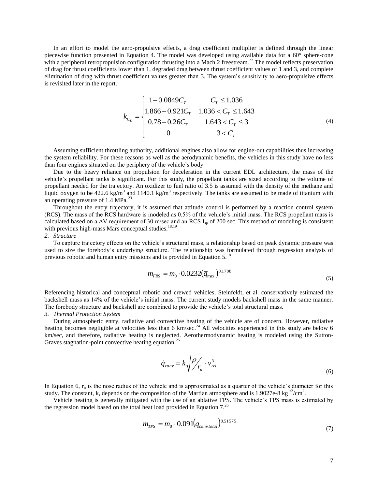In an effort to model the aero-propulsive effects, a drag coefficient multiplier is defined through the linear piecewise function presented in Equation 4. The model was developed using available data for a 60° sphere-cone with a peripheral retropropulsion configuration thrusting into a Mach 2 freestream.<sup>[22](#page-19-11)</sup> The model reflects preservation of drag for thrust coefficients lower than 1, degraded drag between thrust coefficient values of 1 and 3, and complete elimination of drag with thrust coefficient values greater than 3. The system"s sensitivity to aero-propulsive effects is revisited later in the report.

$$
k_{C_D} = \begin{cases} 1 - 0.0849C_T & C_T \le 1.036 \\ 1.866 - 0.921C_T & 1.036 < C_T \le 1.643 \\ 0.78 - 0.26C_T & 1.643 < C_T \le 3 \\ 0 & 3 < C_T \end{cases}
$$
(4)

Assuming sufficient throttling authority, additional engines also allow for engine-out capabilities thus increasing the system reliability. For these reasons as well as the aerodynamic benefits, the vehicles in this study have no less than four engines situated on the periphery of the vehicle"s body.

Due to the heavy reliance on propulsion for deceleration in the current EDL architecture, the mass of the vehicle"s propellant tanks is significant. For this study, the propellant tanks are sized according to the volume of propellant needed for the trajectory. An oxidizer to fuel ratio of 3.5 is assumed with the density of the methane and liquid oxygen to be 422.6 kg/m<sup>3</sup> and 1140.1 kg/m<sup>3</sup> respectively. The tanks are assumed to be made of titanium with an operating pressure of  $1.4 \text{ MPa}^{23}$  $1.4 \text{ MPa}^{23}$  $1.4 \text{ MPa}^{23}$ 

Throughout the entry trajectory, it is assumed that attitude control is performed by a reaction control system (RCS). The mass of the RCS hardware is modeled as 0.5% of the vehicle"s initial mass. The RCS propellant mass is calculated based on a  $\Delta V$  requirement of 30 m/sec and an RCS I<sub>sp</sub> of 200 sec. This method of modeling is consistent with previous high-mass Mars conceptual studies.<sup>[18,](#page-19-13)[19](#page-19-8)</sup>

### *2. Structure*

To capture trajectory effects on the vehicle"s structural mass, a relationship based on peak dynamic pressure was used to size the forebody"s underlying structure. The relationship was formulated through regression analysis of previous robotic and human entry missions and is provided in Equation 5.[18](#page-19-13)

$$
m_{FBS} = m_0 \cdot 0.0232 (\overline{q}_{\text{max}})^{0.1708}
$$
\n(5)

Referencing historical and conceptual robotic and crewed vehicles, Steinfeldt, et al. conservatively estimated the backshell mass as 14% of the vehicle"s initial mass. The current study models backshell mass in the same manner. The forebody structure and backshell are combined to provide the vehicle"s total structural mass.

### *3. Thermal Protection System*

During atmospheric entry, radiative and convective heating of the vehicle are of concern. However, radiative heating becomes negligible at velocities less than 6 km/sec.<sup>[24](#page-19-14)</sup> All velocities experienced in this study are below 6 km/sec, and therefore, radiative heating is neglected. Aerothermodynamic heating is modeled using the Sutton-Graves stagnation-point convective heating equation.<sup>[25](#page-19-15)</sup>

$$
\dot{q}_{conv} = k \sqrt{\frac{\rho}{r_n}} \cdot v_{rel}^3 \tag{6}
$$

In Equation 6,  $r_n$  is the nose radius of the vehicle and is approximated as a quarter of the vehicle's diameter for this study. The constant, k, depends on the composition of the Martian atmosphere and is 1.9027e-8 kg<sup>1/2</sup>/cm<sup>2</sup>.

Vehicle heating is generally mitigated with the use of an ablative TPS. The vehicle"s TPS mass is estimated by the regression model based on the total heat load provided in Equation 7.<sup>[26](#page-20-0)</sup>

$$
m_{TPS} = m_0 \cdot 0.091 \left( q_{conv, total} \right)^{0.51575} \tag{7}
$$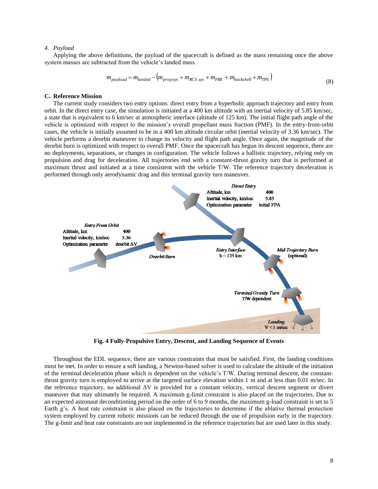### *4. Payload*

Applying the above definitions, the payload of the spacecraft is defined as the mass remaining once the above system masses are subtracted from the vehicle's landed mass.

$$
m_{payload} = m_{landed} - (m_{propsys} + m_{RCS\,sys} + m_{FBS} + m_{backshell} + m_{TPS})
$$
\n(8)

### **C. Reference Mission**

The current study considers two entry options: direct entry from a hyperbolic approach trajectory and entry from orbit. In the direct entry case, the simulation is initiated at a 400 km altitude with an inertial velocity of 5.85 km/sec, a state that is equivalent to 6 km/sec at atmospheric interface (altitude of 125 km). The initial flight path angle of the vehicle is optimized with respect to the mission"s overall propellant mass fraction (PMF). In the entry-from-orbit cases, the vehicle is initially assumed to be in a 400 km altitude circular orbit (inertial velocity of 3.36 km/sec). The vehicle performs a deorbit maneuver to change its velocity and flight path angle. Once again, the magnitude of the deorbit burn is optimized with respect to overall PMF. Once the spacecraft has begun its descent sequence, there are no deployments, separations, or changes in configuration. The vehicle follows a ballistic trajectory, relying only on propulsion and drag for deceleration. All trajectories end with a constant-thrust gravity turn that is performed at maximum thrust and initiated at a time consistent with the vehicle T/W. The reference trajectory deceleration is performed through only aerodynamic drag and this terminal gravity turn maneuver.



**Fig. 4 Fully-Propulsive Entry, Descent, and Landing Sequence of Events**

Throughout the EDL sequence, there are various constraints that must be satisfied. First, the landing conditions must be met. In order to ensure a soft landing, a Newton-based solver is used to calculate the altitude of the initiation of the terminal deceleration phase which is dependent on the vehicle"s T/W. During terminal descent, the constantthrust gravity turn is employed to arrive at the targeted surface elevation within 1 m and at less than 0.01 m/sec. In the reference trajectory, no additional ΔV is provided for a constant velocity, vertical descent segment or divert maneuver that may ultimately be required. A maximum g-limit constraint is also placed on the trajectories. Due to an expected astronaut deconditioning period on the order of 6 to 9 months, the maximum g-load constraint is set to 5 Earth g"s. A heat rate constraint is also placed on the trajectories to determine if the ablative thermal protection system employed by current robotic missions can be reduced through the use of propulsion early in the trajectory. The g-limit and heat rate constraints are not implemented in the reference trajectories but are used later in this study.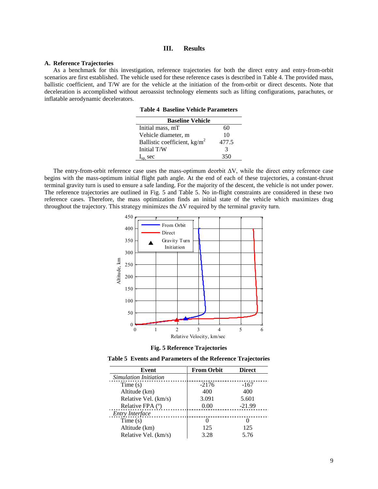### **III. Results**

### **A. Reference Trajectories**

<span id="page-8-0"></span>As a benchmark for this investigation, reference trajectories for both the direct entry and entry-from-orbit scenarios are first established. The vehicle used for these reference cases is described in [Table 4.](#page-8-0) The provided mass, ballistic coefficient, and T/W are for the vehicle at the initiation of the from-orbit or direct descents. Note that deceleration is accomplished without aeroassist technology elements such as lifting configurations, parachutes, or inflatable aerodynamic decelerators.

| <b>Baseline Vehicle</b>        |       |
|--------------------------------|-------|
| Initial mass, mT               | 60    |
| Vehicle diameter, m            | 10    |
| Ballistic coefficient, $kg/m2$ | 477.5 |
| Initial T/W                    | 3     |
| $I_{\rm sp.}$ sec              | 350   |

**Table 4 Baseline Vehicle Parameters**

The entry-from-orbit reference case uses the mass-optimum deorbit  $\Delta V$ , while the direct entry reference case begins with the mass-optimum initial flight path angle. At the end of each of these trajectories, a constant-thrust terminal gravity turn is used to ensure a safe landing. For the majority of the descent, the vehicle is not under power. The reference trajectories are outlined in [Fig. 5](#page-8-1) and [Table 5.](#page-8-2) No in-flight constraints are considered in these two reference cases. Therefore, the mass optimization finds an initial state of the vehicle which maximizes drag throughout the trajectory. This strategy minimizes the  $\Delta V$  required by the terminal gravity turn.





<span id="page-8-2"></span><span id="page-8-1"></span>**Table 5 Events and Parameters of the Reference Trajectories**

| Event                  | <b>From Orbit</b> | <b>Direct</b> |
|------------------------|-------------------|---------------|
| Simulation Initiation  |                   |               |
| Time(s)                | $-2176$           | $-167$        |
| Altitude (km)          | 400               | 400           |
| Relative Vel. (km/s)   | 3.091             | 5.601         |
| Relative FPA $(°)$     | 0.00              | $-21.99$      |
| <b>Entry Interface</b> |                   |               |
| Time $(s)$             |                   |               |
| Altitude (km)          | 125               | 125           |
| Relative Vel. (km/s)   | 3.28              | 5.76          |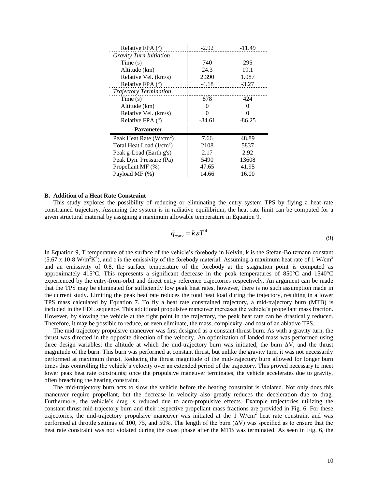| Relative FPA (°)                    | $-2.92$  | $-11.49$          |
|-------------------------------------|----------|-------------------|
| Gravity Turn Initiation             |          |                   |
| Time $(s)$                          | 740      | 295               |
| Altitude (km)                       | 24.3     | 19.1              |
| Relative Vel. (km/s)                | 2.390    | 1.987             |
| Relative FPA (°)                    | $-4.18$  | $-3.27$           |
| <b>Trajectory Termination</b>       |          |                   |
| Time $(s)$                          | 878      | 424               |
| Altitude (km)                       |          | $\mathbf{\Omega}$ |
| Relative Vel. (km/s)                |          |                   |
| Relative FPA $(°)$                  | $-84.61$ | $-86.25$          |
|                                     |          |                   |
| <b>Parameter</b>                    |          |                   |
| Peak Heat Rate (W/cm <sup>2</sup> ) | 7.66     | 48.89             |
| Total Heat Load $(J/cm2)$           | 2108     | 5837              |
| Peak g-Load (Earth g's)             | 2.17     | 2.92              |
| Peak Dyn. Pressure (Pa)             | 5490     | 13608             |
| Propellant MF (%)                   | 47.65    | 41.95             |

### **B. Addition of a Heat Rate Constraint**

This study explores the possibility of reducing or eliminating the entry system TPS by flying a heat rate constrained trajectory. Assuming the system is in radiative equilibrium, the heat rate limit can be computed for a given structural material by assigning a maximum allowable temperature in Equation 9.

$$
\dot{q}_{conv} = k \varepsilon T^4 \tag{9}
$$

In Equation 9, T temperature of the surface of the vehicle"s forebody in Kelvin, k is the Stefan-Boltzmann constant (5.67 x 10-8 W/m<sup>2</sup>K<sup>4</sup>), and  $\varepsilon$  is the emissivity of the forebody material. Assuming a maximum heat rate of 1 W/cm<sup>2</sup> and an emissivity of 0.8, the surface temperature of the forebody at the stagnation point is computed as approximately 415°C. This represents a significant decrease in the peak temperatures of 850°C and 1540°C experienced by the entry-from-orbit and direct entry reference trajectories respectively. An argument can be made that the TPS may be eliminated for sufficiently low peak heat rates, however, there is no such assumption made in the current study. Limiting the peak heat rate reduces the total heat load during the trajectory, resulting in a lower TPS mass calculated by Equation 7. To fly a heat rate constrained trajectory, a mid-trajectory burn (MTB) is included in the EDL sequence. This additional propulsive maneuver increases the vehicle's propellant mass fraction. However, by slowing the vehicle at the right point in the trajectory, the peak heat rate can be drastically reduced. Therefore, it may be possible to reduce, or even eliminate, the mass, complexity, and cost of an ablative TPS.

The mid-trajectory propulsive maneuver was first designed as a constant-thrust burn. As with a gravity turn, the thrust was directed in the opposite direction of the velocity. An optimization of landed mass was performed using three design variables: the altitude at which the mid-trajectory burn was initiated, the burn  $\Delta V$ , and the thrust magnitude of the burn. This burn was performed at constant thrust, but unlike the gravity turn, it was not necessarily performed at maximum thrust. Reducing the thrust magnitude of the mid-trajectory burn allowed for longer burn times thus controlling the vehicle"s velocity over an extended period of the trajectory. This proved necessary to meet lower peak heat rate constraints; once the propulsive maneuver terminates, the vehicle accelerates due to gravity, often breaching the heating constraint.

The mid-trajectory burn acts to slow the vehicle before the heating constraint is violated. Not only does this maneuver require propellant, but the decrease in velocity also greatly reduces the deceleration due to drag. Furthermore, the vehicle"s drag is reduced due to aero-propulsive effects. Example trajectories utilizing the constant-thrust mid-trajectory burn and their respective propellant mass fractions are provided in [Fig. 6.](#page-10-0) For these trajectories, the mid-trajectory propulsive maneuver was initiated at the 1 W/cm<sup>2</sup> heat rate constraint and was performed at throttle settings of 100, 75, and 50%. The length of the burn  $(\Delta V)$  was specified as to ensure that the heat rate constraint was not violated during the coast phase after the MTB was terminated. As seen in [Fig. 6,](#page-10-0) the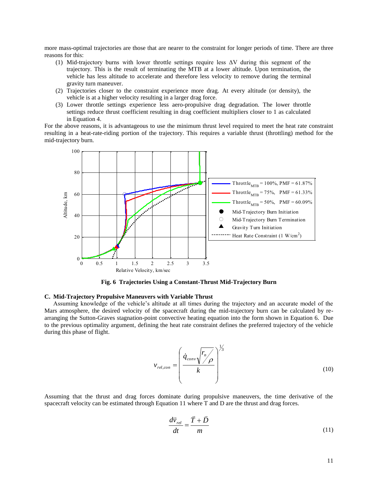more mass-optimal trajectories are those that are nearer to the constraint for longer periods of time. There are three reasons for this:

- (1) Mid-trajectory burns with lower throttle settings require less ΔV during this segment of the trajectory. This is the result of terminating the MTB at a lower altitude. Upon termination, the vehicle has less altitude to accelerate and therefore less velocity to remove during the terminal gravity turn maneuver.
- (2) Trajectories closer to the constraint experience more drag. At every altitude (or density), the vehicle is at a higher velocity resulting in a larger drag force.
- (3) Lower throttle settings experience less aero-propulsive drag degradation. The lower throttle settings reduce thrust coefficient resulting in drag coefficient multipliers closer to 1 as calculated in Equation 4.

For the above reasons, it is advantageous to use the minimum thrust level required to meet the heat rate constraint resulting in a heat-rate-riding portion of the trajectory. This requires a variable thrust (throttling) method for the mid-trajectory burn.



#### <span id="page-10-0"></span> $0.5$  1.5  $0.5$  2.5  $0.5$  2.5  $0.5$  2.5  $0.5$  2.5  $0.5$  2.5  $0.5$  3.5  $0.5$  3.5  $0.5$  3.5  $0.5$  3.5  $0.5$  3.5  $0.5$  3.5  $0.5$  3.5  $0.5$  3.5  $0.5$  3.5  $0.5$  3.5  $0.5$  3.5  $0.5$  3.5  $0.5$  3.5  $0.5$  3.5  $0.5$  3.5  $0.5$  3.5 **C. Mid-Trajectory Propulsive Maneuvers with Variable Thrust**

Assuming knowledge of the vehicle's altitude at all times during the trajectory and an accurate model of the Mars atmosphere, the desired velocity of the spacecraft during the mid-trajectory burn can be calculated by rearranging the Sutton-Graves stagnation-point convective heating equation into the form shown in Equation 6. Due to the previous optimality argument, defining the heat rate constraint defines the preferred trajectory of the vehicle during this phase of flight.

$$
v_{rel,con} = \left(\frac{\dot{q}_{conv} \sqrt{\frac{r_n}{\rho}}}{k}\right)^{\frac{1}{3}}
$$
(10)

Assuming that the thrust and drag forces dominate during propulsive maneuvers, the time derivative of the spacecraft velocity can be estimated through Equation 11 where T and D are the thrust and drag forces.

$$
\frac{d\vec{v}_{rel}}{dt} = \frac{\vec{T} + \vec{D}}{m} \tag{11}
$$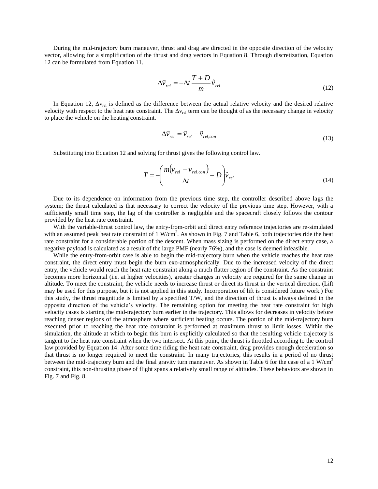During the mid-trajectory burn maneuver, thrust and drag are directed in the opposite direction of the velocity vector, allowing for a simplification of the thrust and drag vectors in Equation 8. Through discretization, Equation 12 can be formulated from Equation 11.

$$
\Delta \vec{v}_{rel} = -\Delta t \frac{T+D}{m} \hat{v}_{rel}
$$
\n(12)

In Equation 12,  $\Delta v_{rel}$  is defined as the difference between the actual relative velocity and the desired relative velocity with respect to the heat rate constraint. The  $\Delta v_{rel}$  term can be thought of as the necessary change in velocity to place the vehicle on the heating constraint.

$$
\Delta \vec{v}_{rel} = \vec{v}_{rel} - \vec{v}_{rel,con}
$$
\n(13)

Substituting into Equation 12 and solving for thrust gives the following control law.

$$
T = -\left(\frac{m(v_{rel} - v_{rel,con})}{\Delta t} - D\right)\hat{v}_{rel}
$$
\n(14)

Due to its dependence on information from the previous time step, the controller described above lags the system; the thrust calculated is that necessary to correct the velocity of the previous time step. However, with a sufficiently small time step, the lag of the controller is negligible and the spacecraft closely follows the contour provided by the heat rate constraint.

With the variable-thrust control law, the entry-from-orbit and direct entry reference trajectories are re-simulated with an assumed peak heat rate constraint of  $1 \text{ W/cm}^2$ . As shown in [Fig. 7](#page-12-0) and [Table 6,](#page-12-1) both trajectories ride the heat rate constraint for a considerable portion of the descent. When mass sizing is performed on the direct entry case, a negative payload is calculated as a result of the large PMF (nearly 76%), and the case is deemed infeasible.

While the entry-from-orbit case is able to begin the mid-trajectory burn when the vehicle reaches the heat rate constraint, the direct entry must begin the burn exo-atmospherically. Due to the increased velocity of the direct entry, the vehicle would reach the heat rate constraint along a much flatter region of the constraint. As the constraint becomes more horizontal (i.e. at higher velocities), greater changes in velocity are required for the same change in altitude. To meet the constraint, the vehicle needs to increase thrust or direct its thrust in the vertical direction. (Lift may be used for this purpose, but it is not applied in this study. Incorporation of lift is considered future work.) For this study, the thrust magnitude is limited by a specified T/W, and the direction of thrust is always defined in the opposite direction of the vehicle"s velocity. The remaining option for meeting the heat rate constraint for high velocity cases is starting the mid-trajectory burn earlier in the trajectory. This allows for decreases in velocity before reaching denser regions of the atmosphere where sufficient heating occurs. The portion of the mid-trajectory burn executed prior to reaching the heat rate constraint is performed at maximum thrust to limit losses. Within the simulation, the altitude at which to begin this burn is explicitly calculated so that the resulting vehicle trajectory is tangent to the heat rate constraint when the two intersect. At this point, the thrust is throttled according to the control law provided by Equation 14. After some time riding the heat rate constraint, drag provides enough deceleration so that thrust is no longer required to meet the constraint. In many trajectories, this results in a period of no thrust between the mid-trajectory burn and the final gravity turn maneuver. As shown in [Table 6](#page-12-1) for the case of a 1  $W/cm<sup>2</sup>$ constraint, this non-thrusting phase of flight spans a relatively small range of altitudes. These behaviors are shown in [Fig. 7](#page-12-0) and [Fig. 8.](#page-13-0)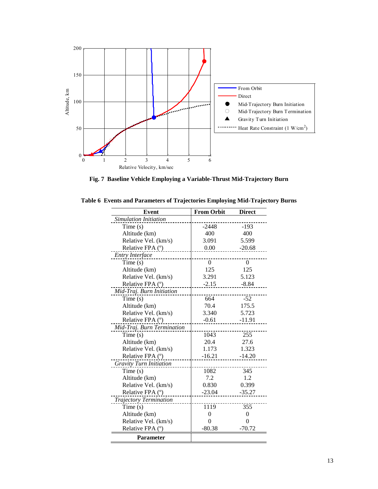

**Fig. 7 Baseline Vehicle Employing a Variable-Thrust Mid-Trajectory Burn**

| Event                      | <b>From Orbit</b> | <b>Direct</b>  |
|----------------------------|-------------------|----------------|
| Simulation Initiation      |                   |                |
| Time(s)                    | $-2448$           | $-193$         |
| Altitude (km)              | 400               | 400            |
| Relative Vel. (km/s)       | 3.091             | 5.599          |
| Relative FPA (°)           | 0.00              | $-20.68$       |
| <b>Entry Interface</b>     |                   |                |
| Time(s)                    | $\Omega$          | 0              |
| Altitude (km)              | 125               | 125            |
| Relative Vel. (km/s)       | 3.291             | 5.123          |
| Relative FPA $(°)$         | $-2.15$           | $-8.84$        |
| Mid-Traj. Burn Initiation  |                   |                |
| Time(s)                    | 664               | $-52$          |
| Altitude (km)              | 70.4              | 175.5          |
| Relative Vel. (km/s)       | 3.340             | 5.723          |
| Relative FPA (°)           | $-0.61$           | $-11.91$       |
| Mid-Traj. Burn Termination |                   |                |
| Time $(s)$                 | 1043              | 255            |
| Altitude (km)              | 20.4              | 27.6           |
| Relative Vel. (km/s)       | 1.173             | 1.323          |
| Relative FPA $(°)$         | $-16.21$          | $-14.20$       |
| Gravity Turn Initiation    |                   |                |
| Time(s)                    | 1082              | 345            |
| Altitude (km)              | 7.2               | 1.2            |
| Relative Vel. (km/s)       | 0.830             | 0.399          |
| Relative FPA (°)           | $-23.04$          | $-35.27$       |
| Trajectory Termination     |                   |                |
| Time(s)                    | 1119              | 355            |
| Altitude (km)              | 0                 | $\overline{0}$ |
| Relative Vel. (km/s)       | $\Omega$          | $\Omega$       |
| Relative FPA (°)           | $-80.38$          | $-70.72$       |
| Parameter                  |                   |                |

<span id="page-12-1"></span><span id="page-12-0"></span>

| Table 6 Events and Parameters of Trajectories Employing Mid-Trajectory Burns |  |  |
|------------------------------------------------------------------------------|--|--|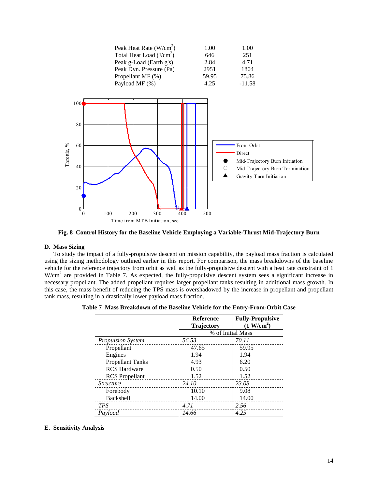

<span id="page-13-0"></span>**Fig. 8 Control History for the Baseline Vehicle Employing a Variable-Thrust Mid-Trajectory Burn**

### **D. Mass Sizing**

To study the impact of a fully-propulsive descent on mission capability, the payload mass fraction is calculated using the sizing methodology outlined earlier in this report. For comparison, the mass breakdowns of the baseline vehicle for the reference trajectory from orbit as well as the fully-propulsive descent with a heat rate constraint of 1 W/cm<sup>2</sup> are provided in [Table 7.](#page-13-1) As expected, the fully-propulsive descent system sees a significant increase in necessary propellant. The added propellant requires larger propellant tanks resulting in additional mass growth. In this case, the mass benefit of reducing the TPS mass is overshadowed by the increase in propellant and propellant tank mass, resulting in a drastically lower payload mass fraction.

<span id="page-13-1"></span>**Table 7 Mass Breakdown of the Baseline Vehicle for the Entry-From-Orbit Case**

|                          | <b>Reference</b>  | <b>Fully-Propulsive</b> |
|--------------------------|-------------------|-------------------------|
|                          | <b>Trajectory</b> | $(1 \text{ W/cm}^2)$    |
|                          |                   | % of Initial Mass       |
| <b>Propulsion System</b> | 56.53             | 70.11                   |
| Propellant               | 47.65             | 59.95                   |
| Engines                  | 1.94              | 1.94                    |
| <b>Propellant Tanks</b>  | 4.93              | 6.20                    |
| <b>RCS Hardware</b>      | 0.50              | 0.50                    |
| <b>RCS</b> Propellant    | 1.52              | 1.52                    |
| <i>Structure</i>         | 24.10             | 23.08                   |
| Forebody                 | 10.10             | 9.08                    |
| Backshell                | 14.00             | 14.00                   |
| TPS                      | 4.71              | 2.56                    |
| Payload                  | 14.66             | 4.25                    |

### **E. Sensitivity Analysis**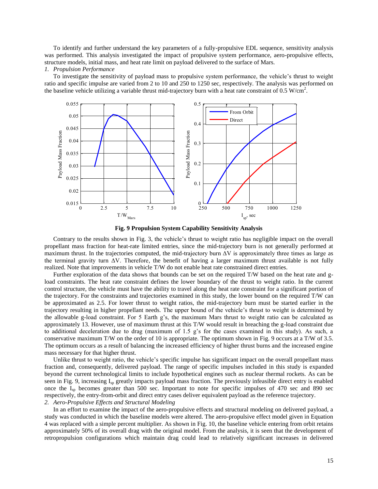To identify and further understand the key parameters of a fully-propulsive EDL sequence, sensitivity analysis was performed. This analysis investigated the impact of propulsive system performance, aero-propulsive effects, structure models, initial mass, and heat rate limit on payload delivered to the surface of Mars.

### *1. Propulsion Performance*

To investigate the sensitivity of payload mass to propulsive system performance, the vehicle"s thrust to weight ratio and specific impulse are varied from 2 to 10 and 250 to 1250 sec, respectively. The analysis was performed on the baseline vehicle utilizing a variable thrust mid-trajectory burn with a heat rate constraint of 0.5 W/cm<sup>2</sup>.



**Fig. 9 Propulsion System Capability Sensitivity Analysis**

<span id="page-14-0"></span>Contrary to the results shown in [Fig. 3,](#page-5-0) the vehicle"s thrust to weight ratio has negligible impact on the overall propellant mass fraction for heat-rate limited entries, since the mid-trajectory burn is not generally performed at maximum thrust. In the trajectories computed, the mid-trajectory burn  $\Delta V$  is approximately three times as large as the terminal gravity turn  $\Delta V$ . Therefore, the benefit of having a larger maximum thrust available is not fully realized. Note that improvements in vehicle T/W do not enable heat rate constrained direct entries.

Further exploration of the data shows that bounds can be set on the required T/W based on the heat rate and gload constraints. The heat rate constraint defines the lower boundary of the thrust to weight ratio. In the current control structure, the vehicle must have the ability to travel along the heat rate constraint for a significant portion of the trajectory. For the constraints and trajectories examined in this study, the lower bound on the required T/W can be approximated as 2.5. For lower thrust to weight ratios, the mid-trajectory burn must be started earlier in the trajectory resulting in higher propellant needs. The upper bound of the vehicle"s thrust to weight is determined by the allowable g-load constraint. For 5 Earth g"s, the maximum Mars thrust to weight ratio can be calculated as approximately 13. However, use of maximum thrust at this T/W would result in breaching the g-load constraint due to additional deceleration due to drag (maximum of 1.5 g's for the cases examined in this study). As such, a conservative maximum T/W on the order of 10 is appropriate. The optimum shown in [Fig. 9](#page-14-0) occurs at a T/W of 3.5. The optimum occurs as a result of balancing the increased efficiency of higher thrust burns and the increased engine mass necessary for that higher thrust.

Unlike thrust to weight ratio, the vehicle's specific impulse has significant impact on the overall propellant mass fraction and, consequently, delivered payload. The range of specific impulses included in this study is expanded beyond the current technological limits to include hypothetical engines such as nuclear thermal rockets. As can be seen in [Fig. 9,](#page-14-0) increasing I<sub>sp</sub> greatly impacts payload mass fraction. The previously infeasible direct entry is enabled once the I<sub>sp</sub> becomes greater than 500 sec. Important to note for specific impulses of 470 sec and 890 sec respectively, the entry-from-orbit and direct entry cases deliver equivalent payload as the reference trajectory. *2. Aero-Propulsive Effects and Structural Modeling*

In an effort to examine the impact of the aero-propulsive effects and structural modeling on delivered payload, a study was conducted in which the baseline models were altered. The aero-propulsive effect model given in Equation 4 was replaced with a simple percent multiplier. As shown in [Fig. 10,](#page-15-0) the baseline vehicle entering from orbit retains approximately 50% of its overall drag with the original model. From the analysis, it is seen that the development of retropropulsion configurations which maintain drag could lead to relatively significant increases in delivered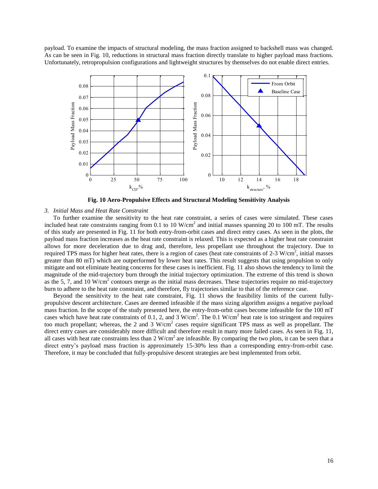payload. To examine the impacts of structural modeling, the mass fraction assigned to backshell mass was changed. As can be seen in [Fig. 10,](#page-15-0) reductions in structural mass fraction directly translate to higher payload mass fractions. Unfortunately, retropropulsion configurations and lightweight structures by themselves do not enable direct entries.



**Fig. 10 Aero-Propulsive Effects and Structural Modeling Sensitivity Analysis**

### <span id="page-15-0"></span>*3. Initial Mass and Heat Rate Constraint*

To further examine the sensitivity to the heat rate constraint, a series of cases were simulated. These cases included heat rate constraints ranging from 0.1 to 10  $W/cm<sup>2</sup>$  and initial masses spanning 20 to 100 mT. The results of this study are presented in [Fig. 11](#page-16-0) for both entry-from-orbit cases and direct entry cases. As seen in the plots, the payload mass fraction increases as the heat rate constraint is relaxed. This is expected as a higher heat rate constraint allows for more deceleration due to drag and, therefore, less propellant use throughout the trajectory. Due to required TPS mass for higher heat rates, there is a region of cases (heat rate constraints of 2-3 W/cm<sup>2</sup>, initial masses greater than 80 mT) which are outperformed by lower heat rates. This result suggests that using propulsion to only mitigate and not eliminate heating concerns for these cases is inefficient. [Fig. 11](#page-16-0) also shows the tendency to limit the magnitude of the mid-trajectory burn through the initial trajectory optimization. The extreme of this trend is shown as the 5, 7, and 10 W/cm<sup>2</sup> contours merge as the initial mass decreases. These trajectories require no mid-trajectory burn to adhere to the heat rate constraint, and therefore, fly trajectories similar to that of the reference case.

Beyond the sensitivity to the heat rate constraint, [Fig. 11](#page-16-0) shows the feasibility limits of the current fullypropulsive descent architecture. Cases are deemed infeasible if the mass sizing algorithm assigns a negative payload mass fraction. In the scope of the study presented here, the entry-from-orbit cases become infeasible for the 100 mT cases which have heat rate constraints of 0.1, 2, and 3 W/cm<sup>2</sup>. The 0.1 W/cm<sup>2</sup> heat rate is too stringent and requires too much propellant; whereas, the 2 and 3  $W/cm<sup>2</sup>$  cases require significant TPS mass as well as propellant. The direct entry cases are considerably more difficult and therefore result in many more failed cases. As seen in [Fig. 11,](#page-16-0) all cases with heat rate constraints less than  $2 \text{ W/cm}^2$  are infeasible. By comparing the two plots, it can be seen that a direct entry"s payload mass fraction is approximately 15-30% less than a corresponding entry-from-orbit case. Therefore, it may be concluded that fully-propulsive descent strategies are best implemented from orbit.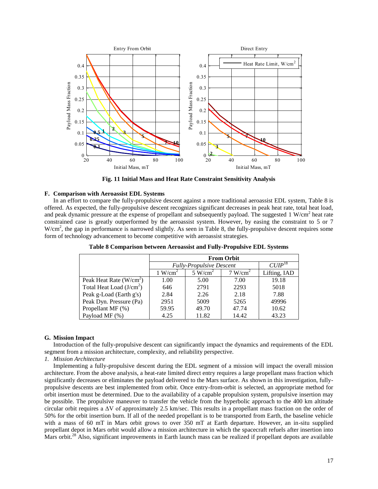

**Fig. 11 Initial Mass and Heat Rate Constraint Sensitivity Analysis**

### <span id="page-16-0"></span>**F. Comparison with Aeroassist EDL Systems**

In an effort to compare the fully-propulsive descent against a more traditional aeroassist EDL system, [Table 8](#page-16-1) is offered. As expected, the fully-propulsive descent recognizes significant decreases in peak heat rate, total heat load, and peak dynamic pressure at the expense of propellant and subsequently payload. The suggested 1 W/cm<sup>2</sup> heat rate constrained case is greatly outperformed by the aeroassist system. However, by easing the constraint to 5 or 7  $W/cm<sup>2</sup>$ , the gap in performance is narrowed slightly. As seen in [Table 8,](#page-16-1) the fully-propulsive descent requires some form of technology advancement to become competitive with aeroassist strategies.

<span id="page-16-1"></span>

|                           | <b>From Orbit</b>               |              |       |                    |  |
|---------------------------|---------------------------------|--------------|-------|--------------------|--|
|                           | <b>Fully-Propulsive Descent</b> |              |       | CUIP <sup>18</sup> |  |
|                           | 1 W/cm <sup>2</sup>             | Lifting, IAD |       |                    |  |
| Peak Heat Rate $(W/cm2)$  | 1.00                            | 5.00         | 7.00  | 19.18              |  |
| Total Heat Load $(J/cm2)$ | 646                             | 2791         | 2293  | 5018               |  |
| Peak g-Load (Earth g's)   | 2.84                            | 2.26         | 2.18  | 7.88               |  |
| Peak Dyn. Pressure (Pa)   | 2951                            | 5009         | 5265  | 49996              |  |
| Propellant MF $(\%)$      | 59.95                           | 49.70        | 47.74 | 10.62              |  |
| Payload MF (%)            | 4.25                            | 11.82        | 14.42 | 43.23              |  |

**Table 8 Comparison between Aeroassist and Fully-Propulsive EDL Systems**

### **G. Mission Impact**

Introduction of the fully-propulsive descent can significantly impact the dynamics and requirements of the EDL segment from a mission architecture, complexity, and reliability perspective.

### *1. Mission Architecture*

Implementing a fully-propulsive descent during the EDL segment of a mission will impact the overall mission architecture. From the above analysis, a heat-rate limited direct entry requires a large propellant mass fraction which significantly decreases or eliminates the payload delivered to the Mars surface. As shown in this investigation, fullypropulsive descents are best implemented from orbit. Once entry-from-orbit is selected, an appropriate method for orbit insertion must be determined. Due to the availability of a capable propulsion system, propulsive insertion may be possible. The propulsive maneuver to transfer the vehicle from the hyperbolic approach to the 400 km altitude circular orbit requires a ΔV of approximately 2.5 km/sec. This results in a propellant mass fraction on the order of 50% for the orbit insertion burn. If all of the needed propellant is to be transported from Earth, the baseline vehicle with a mass of 60 mT in Mars orbit grows to over 350 mT at Earth departure. However, an in-situ supplied propellant depot in Mars orbit would allow a mission architecture in which the spacecraft refuels after insertion into Mars orbit.<sup>[28](#page-20-1)</sup> Also, significant improvements in Earth launch mass can be realized if propellant depots are available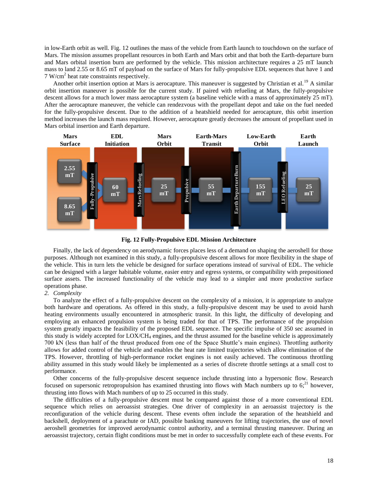in low-Earth orbit as well. [Fig. 12](#page-17-0) outlines the mass of the vehicle from Earth launch to touchdown on the surface of Mars. The mission assumes propellant resources in both Earth and Mars orbit and that both the Earth-departure burn and Mars orbital insertion burn are performed by the vehicle. This mission architecture requires a 25 mT launch mass to land 2.55 or 8.65 mT of payload on the surface of Mars for fully-propulsive EDL sequences that have 1 and 7 W/cm<sup>2</sup> heat rate constraints respectively.

Another orbit insertion option at Mars is aerocapture. This maneuver is suggested by Christian et al.<sup>[19](#page-19-8)</sup> A similar orbit insertion maneuver is possible for the current study. If paired with refueling at Mars, the fully-propulsive descent allows for a much lower mass aerocapture system (a baseline vehicle with a mass of approximately 25 mT). After the aerocapture maneuver, the vehicle can rendezvous with the propellant depot and take on the fuel needed for the fully-propulsive descent. Due to the addition of a heatshield needed for aerocapture, this orbit insertion method increases the launch mass required. However, aerocapture greatly decreases the amount of propellant used in Mars orbital insertion and Earth departure.





<span id="page-17-0"></span>Finally, the lack of dependency on aerodynamic forces places less of a demand on shaping the aeroshell for those purposes. Although not examined in this study, a fully-propulsive descent allows for more flexibility in the shape of the vehicle. This in turn lets the vehicle be designed for surface operations instead of survival of EDL. The vehicle can be designed with a larger habitable volume, easier entry and egress systems, or compatibility with prepositioned surface assets. The increased functionality of the vehicle may lead to a simpler and more productive surface operations phase.

### *2. Complexity*

To analyze the effect of a fully-propulsive descent on the complexity of a mission, it is appropriate to analyze both hardware and operations. As offered in this study, a fully-propulsive descent may be used to avoid harsh heating environments usually encountered in atmospheric transit. In this light, the difficulty of developing and employing an enhanced propulsion system is being traded for that of TPS. The performance of the propulsion system greatly impacts the feasibility of the proposed EDL sequence. The specific impulse of 350 sec assumed in this study is widely accepted for  $LOX/CH_4$  engines, and the thrust assumed for the baseline vehicle is approximately 700 kN (less than half of the thrust produced from one of the Space Shuttle"s main engines). Throttling authority allows for added control of the vehicle and enables the heat rate limited trajectories which allow elimination of the TPS. However, throttling of high-performance rocket engines is not easily achieved. The continuous throttling ability assumed in this study would likely be implemented as a series of discrete throttle settings at a small cost to performance.

Other concerns of the fully-propulsive descent sequence include thrusting into a hypersonic flow. Research focused on supersonic retropropulsion has examined thrusting into flows with Mach numbers up to 6;<sup>[21](#page-19-10)</sup> however, thrusting into flows with Mach numbers of up to 25 occurred in this study.

The difficulties of a fully-propulsive descent must be compared against those of a more conventional EDL sequence which relies on aeroassist strategies. One driver of complexity in an aeroassist trajectory is the reconfiguration of the vehicle during descent. These events often include the separation of the heatshield and backshell, deployment of a parachute or IAD, possible banking maneuvers for lifting trajectories, the use of novel aeroshell geometries for improved aerodynamic control authority, and a terminal thrusting maneuver. During an aeroassist trajectory, certain flight conditions must be met in order to successfully complete each of these events. For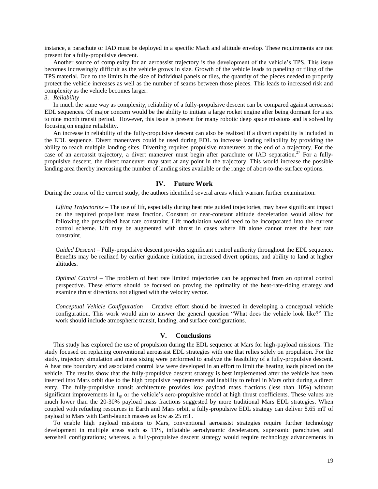instance, a parachute or IAD must be deployed in a specific Mach and altitude envelop. These requirements are not present for a fully-propulsive descent.

Another source of complexity for an aeroassist trajectory is the development of the vehicle"s TPS. This issue becomes increasingly difficult as the vehicle grows in size. Growth of the vehicle leads to paneling or tiling of the TPS material. Due to the limits in the size of individual panels or tiles, the quantity of the pieces needed to properly protect the vehicle increases as well as the number of seams between those pieces. This leads to increased risk and complexity as the vehicle becomes larger.

### *3. Reliability*

In much the same way as complexity, reliability of a fully-propulsive descent can be compared against aeroassist EDL sequences. Of major concern would be the ability to initiate a large rocket engine after being dormant for a six to nine month transit period. However, this issue is present for many robotic deep space missions and is solved by focusing on engine reliability.

An increase in reliability of the fully-propulsive descent can also be realized if a divert capability is included in the EDL sequence. Divert maneuvers could be used during EDL to increase landing reliability by providing the ability to reach multiple landing sites. Diverting requires propulsive maneuvers at the end of a trajectory. For the case of an aeroassit trajectory, a divert maneuver must begin after parachute or IAD separation.<sup>[27](#page-20-2)</sup> For a fullypropulsive descent, the divert maneuver may start at any point in the trajectory. This would increase the possible landing area thereby increasing the number of landing sites available or the range of abort-to-the-surface options.

### **IV. Future Work**

During the course of the current study, the authors identified several areas which warrant further examination.

*Lifting Trajectories* – The use of lift, especially during heat rate guided trajectories, may have significant impact on the required propellant mass fraction. Constant or near-constant altitude deceleration would allow for following the prescribed heat rate constraint. Lift modulation would need to be incorporated into the current control scheme. Lift may be augmented with thrust in cases where lift alone cannot meet the heat rate constraint.

*Guided Descent* – Fully-propulsive descent provides significant control authority throughout the EDL sequence. Benefits may be realized by earlier guidance initiation, increased divert options, and ability to land at higher altitudes.

*Optimal Control* – The problem of heat rate limited trajectories can be approached from an optimal control perspective. These efforts should be focused on proving the optimality of the heat-rate-riding strategy and examine thrust directions not aligned with the velocity vector.

*Conceptual Vehicle Configuration* – Creative effort should be invested in developing a conceptual vehicle configuration. This work would aim to answer the general question "What does the vehicle look like?" The work should include atmospheric transit, landing, and surface configurations.

### **V. Conclusions**

This study has explored the use of propulsion during the EDL sequence at Mars for high-payload missions. The study focused on replacing conventional aeroassist EDL strategies with one that relies solely on propulsion. For the study, trajectory simulation and mass sizing were performed to analyze the feasibility of a fully-propulsive descent. A heat rate boundary and associated control law were developed in an effort to limit the heating loads placed on the vehicle. The results show that the fully-propulsive descent strategy is best implemented after the vehicle has been inserted into Mars orbit due to the high propulsive requirements and inability to refuel in Mars orbit during a direct entry. The fully-propulsive transit architecture provides low payload mass fractions (less than 10%) without significant improvements in  $I_{sp}$  or the vehicle's aero-propulsive model at high thrust coefficients. These values are much lower than the 20-30% payload mass fractions suggested by more traditional Mars EDL strategies. When coupled with refueling resources in Earth and Mars orbit, a fully-propulsive EDL strategy can deliver 8.65 mT of payload to Mars with Earth-launch masses as low as 25 mT.

To enable high payload missions to Mars, conventional aeroassist strategies require further technology development in multiple areas such as TPS, inflatable aerodynamic decelerators, supersonic parachutes, and aeroshell configurations; whereas, a fully-propulsive descent strategy would require technology advancements in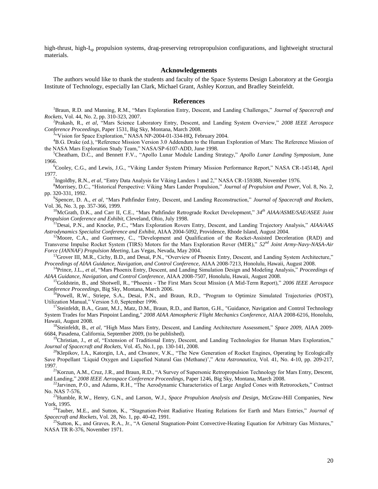high-thrust, high-I<sub>sp</sub> propulsion systems, drag-preserving retropropulsion configurations, and lightweight structural materials.

### **Acknowledgements**

The authors would like to thank the students and faculty of the Space Systems Design Laboratory at the Georgia Institute of Technology, especially Ian Clark, Michael Grant, Ashley Korzun, and Bradley Steinfeldt.

### **References**

<span id="page-19-0"></span><sup>1</sup>Braun, R.D. and Manning, R.M., "Mars Exploration Entry, Descent, and Landing Challenges," *Journal of Spacecraft and Rockets*, Vol. 44, No. 2, pp. 310-323, 2007.

<span id="page-19-1"></span>2 Prakash, R., *et al*, "Mars Science Laboratory Entry, Descent, and Landing System Overview," *2008 IEEE Aerospace Conference Proceedings*, Paper 1531, Big Sky, Montana, March 2008.

<sup>3</sup>"Vision for Space Exploration," NASA NP-2004-01-334-HQ, February 2004.

<span id="page-19-3"></span><span id="page-19-2"></span><sup>4</sup>B.G. Drake (ed.), "Reference Mission Version 3.0 Addendum to the Human Exploration of Mars: The Reference Mission of the NASA Mars Exploration Study Team," NASA/SP-6107-ADD, June 1998.

<span id="page-19-4"></span><sup>5</sup>Cheatham, D.C., and Bennett F.V., "Apollo Lunar Module Landing Strategy," *Apollo Lunar Landing Symposium*, June 1966.

<sup>6</sup>Cooley, C.G., and Lewis, J.G., "Viking Lander System Primary Mission Performance Report," NASA CR-145148, April 1977.

<sup>7</sup>Ingoldby, R.N., *et al*, "Entry Data Analysis for Viking Landers 1 and 2," NASA CR-159388, November 1976.

<sup>8</sup>Morrisey, D.C., "Historical Perspective: Viking Mars Lander Propulsion," *Journal of Propulsion and Power*, Vol. 8, No. 2, pp. 320-331, 1992.

9 Spencer, D. A., *et al*, "Mars Pathfinder Entry, Descent, and Landing Reconstruction," *Journal of Spacecraft and Rockets*, Vol. 36, No. 3, pp. 357-366, 1999.

<sup>10</sup>McGrath, D.K., and Carr II, C.E., "Mars Pathfinder Retrograde Rocket Development," *34th AIAA/ASME/SAE/ASEE Joint Propulsion Conference and Exhibit*, Cleveland, Ohio, July 1998.

<sup>11</sup>Desai, P.N., and Knocke, P.C., "Mars Exploration Rovers Entry, Descent, and Landing Trajectory Analysis," *AIAA/AAS Astrodynamics Specialist Conference and Exhibit*, AIAA 2004-5092, Providence, Rhode Island, August 2004.

<sup>12</sup>Moore, C.A., and Guernsey, C., "Development and Qualification of the Rocket-Assisted Deceleration (RAD) and Transverse Impulse Rocket System (TIRS) Motors for the Mars Exploration Rover (MER)," *52nd Joint Army-Navy-NASA-Air Force (JANNAF) Propulsion Meeting*, Las Vegas, Nevada, May 2004.

<sup>13</sup>Grover III, M.R., Cichy, B.D., and Desai, P.N., "Overview of Phoenix Entry, Descent, and Landing System Architecture," *Proceedings of AIAA Guidance, Navigation, and Control Conference*, AIAA 2008-7213, Honolulu, Hawaii, August 2008.

<sup>14</sup>Prince, J.L., *et al*, "Mars Phoenix Entry, Descent, and Landing Simulation Design and Modeling Analysis," *Proceedings of AIAA Guidance, Navigation, and Control Conference*, AIAA 2008-7507, Honolulu, Hawaii, August 2008.

<span id="page-19-5"></span><sup>15</sup>Goldstein, B., and Shotwell, R., "Phoenix - The First Mars Scout Mission (A Mid-Term Report)," *2006 IEEE Aerospace Conference Proceedings*, Big Sky, Montana, March 2006.

<span id="page-19-6"></span><sup>16</sup>Powell, R.W., Striepe, S.A., Desai, P.N., and Braun, R.D., "Program to Optimize Simulated Trajectories (POST), Utilization Manual," Version 5.0, September 1996.

<span id="page-19-7"></span><sup>17</sup>Steinfeldt, B.A., Grant, M.J., Matz, D.M., Braun, R.D., and Barton, G.H., "Guidance, Navigation and Control Technology System Trades for Mars Pinpoint Landing," *2008 AIAA Atmospheric Flight Mechanics Conference*, AIAA 2008-6216, Honolulu, Hawaii, August 2008.

<span id="page-19-13"></span><sup>18</sup>Steinfeldt, B., *et al*, "High Mass Mars Entry, Descent, and Landing Architecture Assessment," *Space 2009*, AIAA 2009- 6684, Pasadena, California, September 2009, (to be published).

<span id="page-19-8"></span><sup>19</sup>Christian, J., *et al*, "Extension of Traditional Entry, Descent, and Landing Technologies for Human Mars Exploration," *Journal of Spacecraft and Rockets*, Vol. 45, No.1, pp. 130-141, 2008.

<span id="page-19-9"></span><sup>20</sup>Klepikov, I.A., Katorgin, I.A., and Chvanov, V.K., "The New Generation of Rocket Engines, Operating by Ecologically Save Propellant "Liquid Oxygen and Liquefied Natural Gas (Methane)"," *Acta Astronautica*, Vol. 41, No. 4-10, pp. 209-217, 1997.

<span id="page-19-10"></span><sup>21</sup>Korzun, A.M., Cruz, J.R., and Braun, R.D., "A Survey of Supersonic Retropropulsion Technology for Mars Entry, Descent, and Landing," *2008 IEEE Aerospace Conference Proceedings*, Paper 1246, Big Sky, Montana, March 2008.

<span id="page-19-11"></span> $^{22}$ Jarvinen, P.O., and Adams, R.H., "The Aerodynamic Characteristics of Large Angled Cones with Retrorockets," Contract No. NAS 7-576,

<span id="page-19-12"></span><sup>23</sup>Humble, R.W., Henry, G.N., and Larson, W.J., *Space Propulsion Analysis and Design*, McGraw-Hill Companies, New York, 1995.

<span id="page-19-14"></span><sup>24</sup>Tauber, M.E., and Sutton, K., "Stagnation-Point Radiative Heating Relations for Earth and Mars Entries," *Journal of Spacecraft and Rockets*, Vol. 28, No. 1, pp. 40-42, 1991.

<span id="page-19-15"></span> $^{25}$ Sutton, K., and Graves, R.A., Jr., "A General Stagnation-Point Convective-Heating Equation for Arbitrary Gas Mixtures," NASA TR R-376, November 1971.